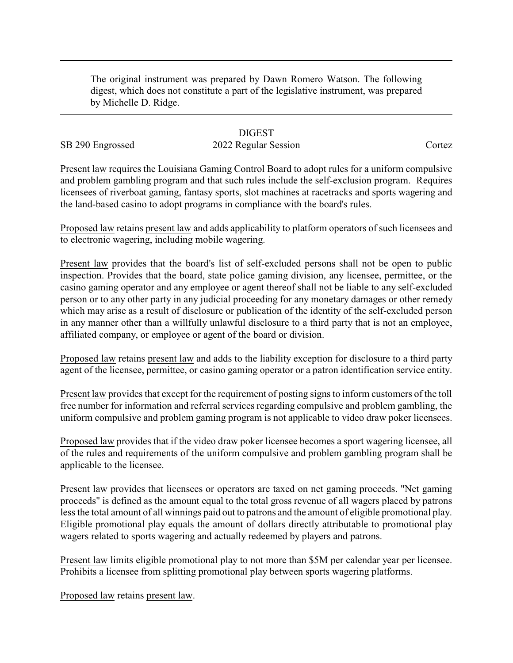The original instrument was prepared by Dawn Romero Watson. The following digest, which does not constitute a part of the legislative instrument, was prepared by Michelle D. Ridge.

### **DIGEST**

# SB 290 Engrossed 2022 Regular Session Cortez

Present law requires the Louisiana Gaming Control Board to adopt rules for a uniform compulsive and problem gambling program and that such rules include the self-exclusion program. Requires licensees of riverboat gaming, fantasy sports, slot machines at racetracks and sports wagering and the land-based casino to adopt programs in compliance with the board's rules.

Proposed law retains present law and adds applicability to platform operators of such licensees and to electronic wagering, including mobile wagering.

Present law provides that the board's list of self-excluded persons shall not be open to public inspection. Provides that the board, state police gaming division, any licensee, permittee, or the casino gaming operator and any employee or agent thereof shall not be liable to any self-excluded person or to any other party in any judicial proceeding for any monetary damages or other remedy which may arise as a result of disclosure or publication of the identity of the self-excluded person in any manner other than a willfully unlawful disclosure to a third party that is not an employee, affiliated company, or employee or agent of the board or division.

Proposed law retains present law and adds to the liability exception for disclosure to a third party agent of the licensee, permittee, or casino gaming operator or a patron identification service entity.

Present law provides that except for the requirement of posting signs to inform customers of the toll free number for information and referral services regarding compulsive and problem gambling, the uniform compulsive and problem gaming program is not applicable to video draw poker licensees.

Proposed law provides that if the video draw poker licensee becomes a sport wagering licensee, all of the rules and requirements of the uniform compulsive and problem gambling program shall be applicable to the licensee.

Present law provides that licensees or operators are taxed on net gaming proceeds. "Net gaming proceeds" is defined as the amount equal to the total gross revenue of all wagers placed by patrons less the total amount of all winnings paid out to patrons and the amount of eligible promotional play. Eligible promotional play equals the amount of dollars directly attributable to promotional play wagers related to sports wagering and actually redeemed by players and patrons.

Present law limits eligible promotional play to not more than \$5M per calendar year per licensee. Prohibits a licensee from splitting promotional play between sports wagering platforms.

Proposed law retains present law.